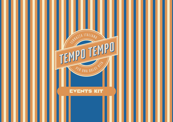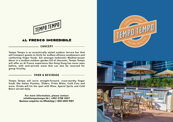

#### AL FDESCO INCDEDIBILÉ

#### CONCEPT -

Tempo Tempo is an eccentrically styled outdoor terrace bar that will transport guests to Sicily for endless alfresco sundowners and comforting finger foods. Set amongst hedonistic Mediterranean décor in a verdant outdoor garden full of character, Tempo Tempo will offer an Al Fresco experience like Hong Kong has never seen before, with semi-private areas that can also be reserved for group frivolity.

#### FOOD & BEVERAGE

Tempo Tempo will serve straight-forward, crave-worthy finger foods like Italian Pizzetta, Sliders, Fritto Misto, Cold Cuts and more. Drinks will hit the spot with Wine, Aperol Spritz and Cold Beers served daily.

> For more information, please contact info@tempotempo.hk | +852 2788 3037 Business enquiries via WhatsApp | +852 6503 9381



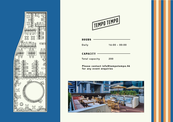



| <b>HOURS</b> |  |
|--------------|--|
|--------------|--|

Daily

16:00 – 00:00

**CAPACITY** 

Total capacity

200

Please contact info@tempotempo.hk for any event enquiries

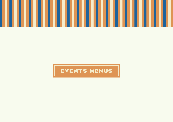

# events menus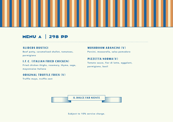# menu a 298 pp

# SLIDERS RUSTICI

Beef patty, caramelised shallot, tomatoes, parmigiano

# I.F.C. (ITALIAN FRIED CHICKEN)

Fried chicken thighs, rosemary, thyme, sage, mayonnaise Italiana

### ORIGINAL TRUFFLE FRIES (V)

Truffle mayo, truffle zest

# MUSHROOM ARANCINI (V)

Porcini, mozzarella, salsa pomodoro

# PIZZETTA NORMA(V) Tomato sauce, fior di latte, eggplant, parmigiano, basil

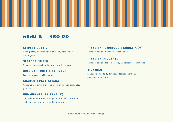# menu b 450 pp

# SLIDERS RUSTICI

Beef patty, caramelised shallot, tomatoes, parmigiano

SEAFOOD FRITTO Prawns, calamari, sole, chili garlic mayo

#### ORIGINAL TRUFFLE FRIES (V)

Truffle mayo, truffle zest

#### CHARCUTERIA ITALIANA

A grand selection of our cold cuts, condiments, grissini

#### HUMMUS ALL ITALIANA (V)

Cannellini hummus, Adagio olive oil, cucumber, red radish, celery, fennel, baby carrots

# PIZZETTA POMODORO E BURRATA (V)

Tomato sauce, burrata, fresh basil

PIZZETTA PICCANTE Tomato sauce, fior di latte, ventricina, scamorza

### TIRAMISU Mascarpone, lady fingers, Italian coffee, chocolate praline

Subject to 10% service charge.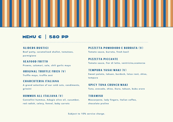# **MENU C** 580 PP

#### SLIDERS RUSTICI

Beef patty, caramelised shallot, tomatoes, parmigiano

SEAFOOD FRITTO Prawns, calamari, sole, chili garlic mayo

### ORIGINAL TRUFFLE FRIES (V)

Truffle mayo, truffle zest

#### CHARCUTERIA ITALIANA

A grand selection of our cold cuts, condiments, grissini

#### HUMMUS ALL ITALIANA (V)

Cannellini hummus, Adagio olive oil, cucumber, red radish, celery, fennel, baby carrots

#### PIZZETTA POMODORO E BURRATA (V)

Tomato sauce, burrata, fresh basil

PIZZETTA PICCANTE Tomato sauce, fior di latte, ventricina,scamorza

#### TEMPURA YASAI MAKI (V) Sweet potato, takuan, burdock, lotus root, shiso, tempura

SPICY TUNA CRUNCH MAKI Tuna, avocado, shiso, ikura, takuan, bubu arare

TIRAMISU Mascarpone, lady fingers, Italian coffee, chocolate praline

Subject to 10% service charge.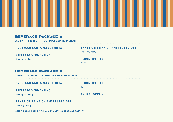### BEVEDAGE DACKAGE A

260 PP | 2 HOURS | +130 PP PER ADDITIONAL HOUR

PROSECCO SANTA MARGHERITA

#### SANTA CRISTINA CHIANTI SUPERIORE,

Tuscany, Italy

#### STELLATO VERMENTINO,

Sardegna, Italy

#### PERONI BOTTLE,

Italy

#### BEVERAGE PACKAGE B

390 PP | 2 HOURS | +180 PP PER ADDITIONAL HOUR

PROSECCO SANTA MARGHERITA

PERONI BOTTLE,

Italy

#### STELLATO VERMENTINO,

Sardegna, Italy

APEROL SPRITZ

#### SANTA CRISTINA CHIANTI SUPERIORE,

Tuscany, Italy

#### SPIRITS AVAILABLE BY THE GLASS ONLY. NO SHOTS OR BOTTLES.